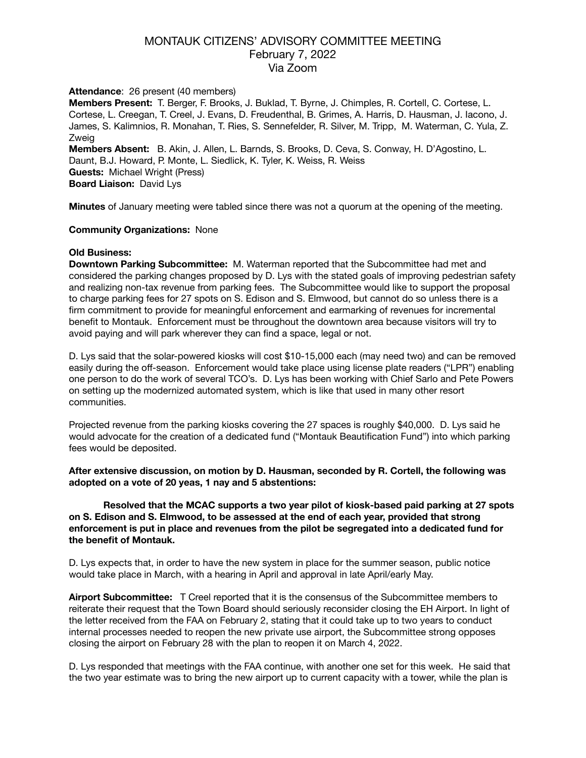# MONTAUK CITIZENS' ADVISORY COMMITTEE MEETING February 7, 2022 Via Zoom

### **Attendance**: 26 present (40 members)

**Members Present:** T. Berger, F. Brooks, J. Buklad, T. Byrne, J. Chimples, R. Cortell, C. Cortese, L. Cortese, L. Creegan, T. Creel, J. Evans, D. Freudenthal, B. Grimes, A. Harris, D. Hausman, J. Iacono, J. James, S. Kalimnios, R. Monahan, T. Ries, S. Sennefelder, R. Silver, M. Tripp, M. Waterman, C. Yula, Z. Zweig **Members Absent:** B. Akin, J. Allen, L. Barnds, S. Brooks, D. Ceva, S. Conway, H. D'Agostino, L. Daunt, B.J. Howard, P. Monte, L. Siedlick, K. Tyler, K. Weiss, R. Weiss **Guests:** Michael Wright (Press)

**Board Liaison:** David Lys

**Minutes** of January meeting were tabled since there was not a quorum at the opening of the meeting.

### **Community Organizations:** None

### **Old Business:**

**Downtown Parking Subcommittee:** M. Waterman reported that the Subcommittee had met and considered the parking changes proposed by D. Lys with the stated goals of improving pedestrian safety and realizing non-tax revenue from parking fees. The Subcommittee would like to support the proposal to charge parking fees for 27 spots on S. Edison and S. Elmwood, but cannot do so unless there is a firm commitment to provide for meaningful enforcement and earmarking of revenues for incremental benefit to Montauk. Enforcement must be throughout the downtown area because visitors will try to avoid paying and will park wherever they can find a space, legal or not.

D. Lys said that the solar-powered kiosks will cost \$10-15,000 each (may need two) and can be removed easily during the off-season. Enforcement would take place using license plate readers ("LPR") enabling one person to do the work of several TCO's. D. Lys has been working with Chief Sarlo and Pete Powers on setting up the modernized automated system, which is like that used in many other resort communities.

Projected revenue from the parking kiosks covering the 27 spaces is roughly \$40,000. D. Lys said he would advocate for the creation of a dedicated fund ("Montauk Beautification Fund") into which parking fees would be deposited.

**After extensive discussion, on motion by D. Hausman, seconded by R. Cortell, the following was adopted on a vote of 20 yeas, 1 nay and 5 abstentions:** 

**Resolved that the MCAC supports a two year pilot of kiosk-based paid parking at 27 spots on S. Edison and S. Elmwood, to be assessed at the end of each year, provided that strong enforcement is put in place and revenues from the pilot be segregated into a dedicated fund for the benefit of Montauk.** 

D. Lys expects that, in order to have the new system in place for the summer season, public notice would take place in March, with a hearing in April and approval in late April/early May.

**Airport Subcommittee:** T Creel reported that it is the consensus of the Subcommittee members to reiterate their request that the Town Board should seriously reconsider closing the EH Airport. In light of the letter received from the FAA on February 2, stating that it could take up to two years to conduct internal processes needed to reopen the new private use airport, the Subcommittee strong opposes closing the airport on February 28 with the plan to reopen it on March 4, 2022.

D. Lys responded that meetings with the FAA continue, with another one set for this week. He said that the two year estimate was to bring the new airport up to current capacity with a tower, while the plan is